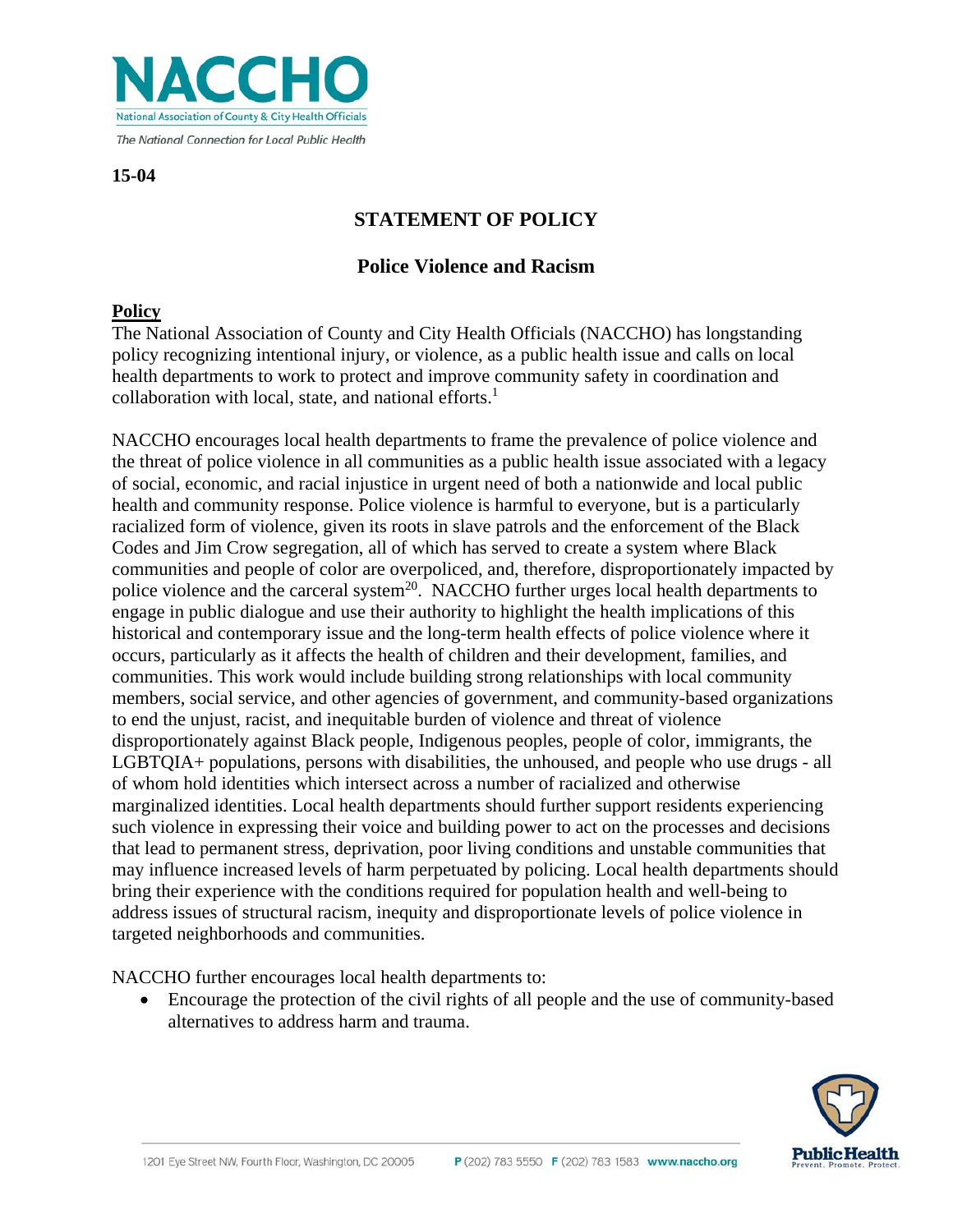

**15-04**

# **STATEMENT OF POLICY**

### **Police Violence and Racism**

#### **Policy**

The National Association of County and City Health Officials (NACCHO) has longstanding policy recognizing intentional injury, or violence, as a public health issue and calls on local health departments to work to protect and improve community safety in coordination and collaboration with local, state, and national efforts. $<sup>1</sup>$ </sup>

NACCHO encourages local health departments to frame the prevalence of police violence and the threat of police violence in all communities as a public health issue associated with a legacy of social, economic, and racial injustice in urgent need of both a nationwide and local public health and community response. Police violence is harmful to everyone, but is a particularly racialized form of violence, given its roots in slave patrols and the enforcement of the Black Codes and Jim Crow segregation, all of which has served to create a system where Black communities and people of color are overpoliced, and, therefore, disproportionately impacted by police violence and the carceral system<sup>20</sup>. NACCHO further urges local health departments to engage in public dialogue and use their authority to highlight the health implications of this historical and contemporary issue and the long-term health effects of police violence where it occurs, particularly as it affects the health of children and their development, families, and communities. This work would include building strong relationships with local community members, social service, and other agencies of government, and community-based organizations to end the unjust, racist, and inequitable burden of violence and threat of violence disproportionately against Black people, Indigenous peoples, people of color, immigrants, the LGBTQIA+ populations, persons with disabilities, the unhoused, and people who use drugs - all of whom hold identities which intersect across a number of racialized and otherwise marginalized identities. Local health departments should further support residents experiencing such violence in expressing their voice and building power to act on the processes and decisions that lead to permanent stress, deprivation, poor living conditions and unstable communities that may influence increased levels of harm perpetuated by policing. Local health departments should bring their experience with the conditions required for population health and well-being to address issues of structural racism, inequity and disproportionate levels of police violence in targeted neighborhoods and communities.

NACCHO further encourages local health departments to:

• Encourage the protection of the civil rights of all people and the use of community-based alternatives to address harm and trauma.

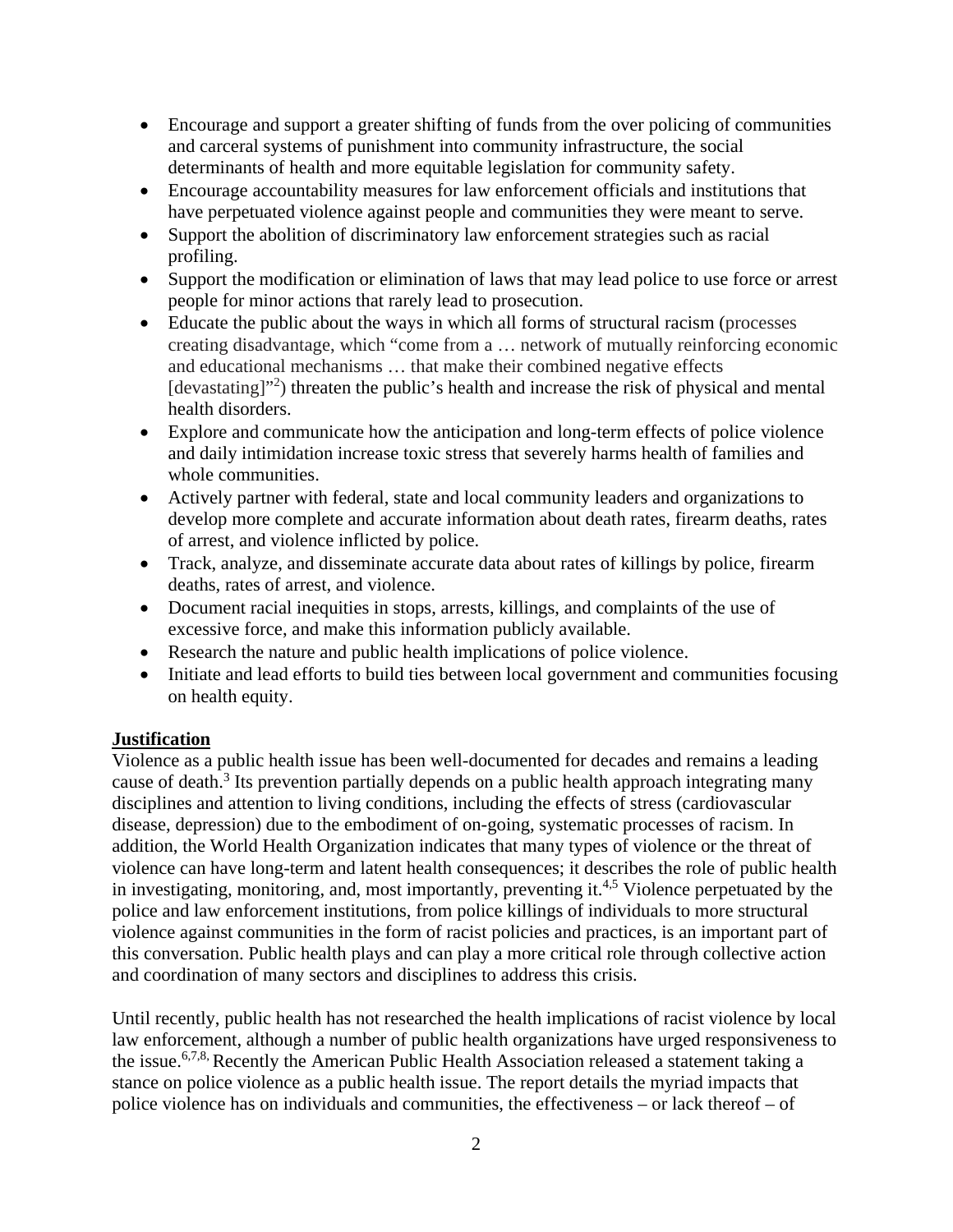- Encourage and support a greater shifting of funds from the over policing of communities and carceral systems of punishment into community infrastructure, the social determinants of health and more equitable legislation for community safety.
- Encourage accountability measures for law enforcement officials and institutions that have perpetuated violence against people and communities they were meant to serve.
- Support the abolition of discriminatory law enforcement strategies such as racial profiling.
- Support the modification or elimination of laws that may lead police to use force or arrest people for minor actions that rarely lead to prosecution.
- Educate the public about the ways in which all forms of structural racism (processes creating disadvantage, which "come from a … network of mutually reinforcing economic and educational mechanisms … that make their combined negative effects [devastating]"<sup>2</sup>) threaten the public's health and increase the risk of physical and mental health disorders.
- Explore and communicate how the anticipation and long-term effects of police violence and daily intimidation increase toxic stress that severely harms health of families and whole communities.
- Actively partner with federal, state and local community leaders and organizations to develop more complete and accurate information about death rates, firearm deaths, rates of arrest, and violence inflicted by police.
- Track, analyze, and disseminate accurate data about rates of killings by police, firearm deaths, rates of arrest, and violence.
- Document racial inequities in stops, arrests, killings, and complaints of the use of excessive force, and make this information publicly available.
- Research the nature and public health implications of police violence.
- Initiate and lead efforts to build ties between local government and communities focusing on health equity.

## **Justification**

Violence as a public health issue has been well-documented for decades and remains a leading cause of death.<sup>3</sup> Its prevention partially depends on a public health approach integrating many disciplines and attention to living conditions, including the effects of stress (cardiovascular disease, depression) due to the embodiment of on-going, systematic processes of racism. In addition, the World Health Organization indicates that many types of violence or the threat of violence can have long-term and latent health consequences; it describes the role of public health in investigating, monitoring, and, most importantly, preventing it.<sup>4,5</sup> Violence perpetuated by the police and law enforcement institutions, from police killings of individuals to more structural violence against communities in the form of racist policies and practices, is an important part of this conversation. Public health plays and can play a more critical role through collective action and coordination of many sectors and disciplines to address this crisis.

Until recently, public health has not researched the health implications of racist violence by local law enforcement, although a number of public health organizations have urged responsiveness to the issue.<sup>6,7,8</sup> Recently the American Public Health Association released a statement taking a stance on police violence as a public health issue. The report details the myriad impacts that police violence has on individuals and communities, the effectiveness – or lack thereof – of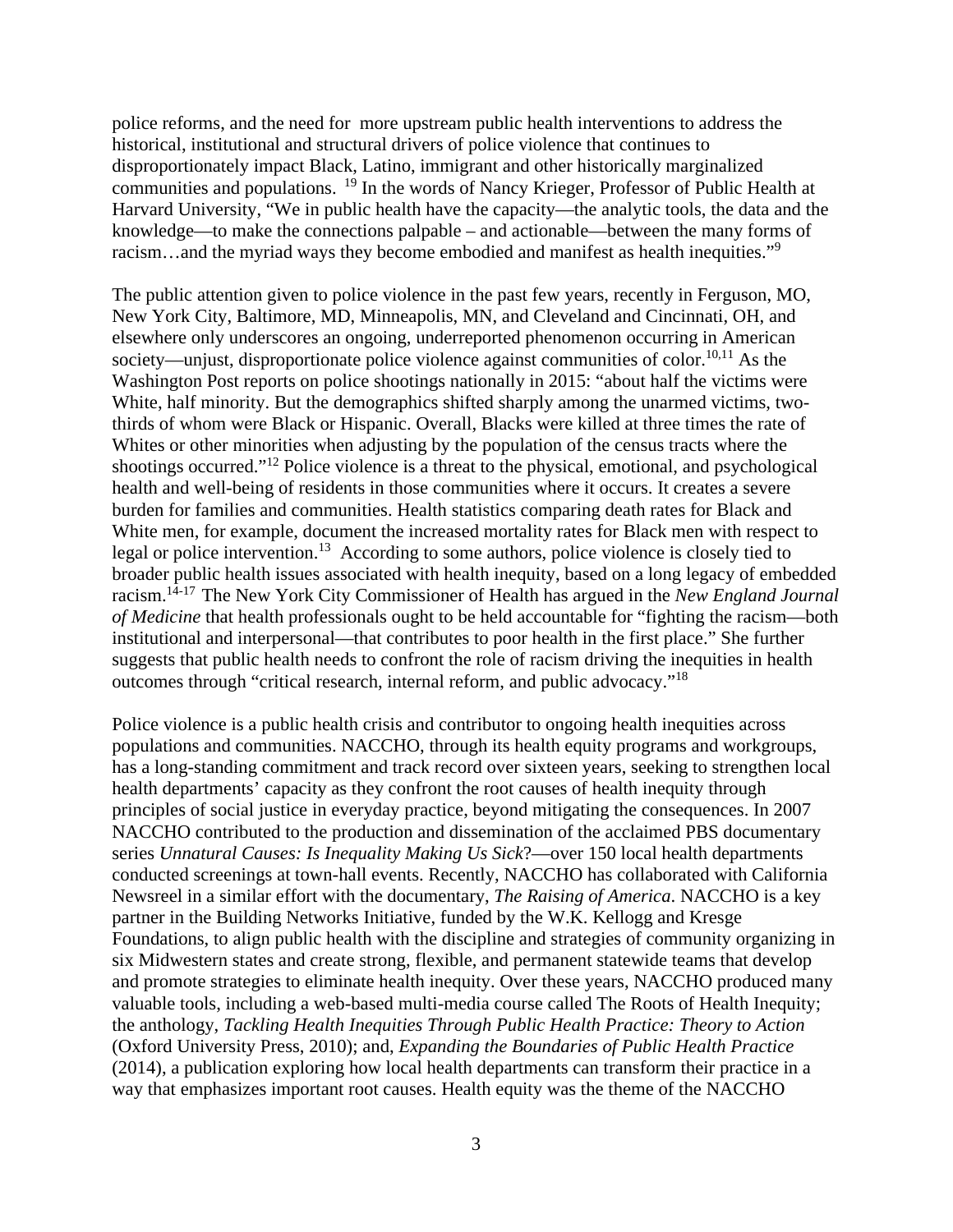police reforms, and the need for more upstream public health interventions to address the historical, institutional and structural drivers of police violence that continues to disproportionately impact Black, Latino, immigrant and other historically marginalized communities and populations. <sup>19</sup> In the words of Nancy Krieger, Professor of Public Health at Harvard University, "We in public health have the capacity—the analytic tools, the data and the knowledge—to make the connections palpable – and actionable—between the many forms of racism…and the myriad ways they become embodied and manifest as health inequities."<sup>9</sup>

The public attention given to police violence in the past few years, recently in Ferguson, MO, New York City, Baltimore, MD, Minneapolis, MN, and Cleveland and Cincinnati, OH, and elsewhere only underscores an ongoing, underreported phenomenon occurring in American society—unjust, disproportionate police violence against communities of color.<sup>10,11</sup> As the Washington Post reports on police shootings nationally in 2015: "about half the victims were White, half minority. But the demographics shifted sharply among the unarmed victims, twothirds of whom were Black or Hispanic. Overall, Blacks were killed at three times the rate of Whites or other minorities when adjusting by the population of the census tracts where the shootings occurred."<sup>12</sup> Police violence is a threat to the physical, emotional, and psychological health and well-being of residents in those communities where it occurs. It creates a severe burden for families and communities. Health statistics comparing death rates for Black and White men, for example, document the increased mortality rates for Black men with respect to legal or police intervention.<sup>13</sup> According to some authors, police violence is closely tied to broader public health issues associated with health inequity, based on a long legacy of embedded racism.14-17 The New York City Commissioner of Health has argued in the *New England Journal of Medicine* that health professionals ought to be held accountable for "fighting the racism—both institutional and interpersonal—that contributes to poor health in the first place." She further suggests that public health needs to confront the role of racism driving the inequities in health outcomes through "critical research, internal reform, and public advocacy."<sup>18</sup>

Police violence is a public health crisis and contributor to ongoing health inequities across populations and communities. NACCHO, through its health equity programs and workgroups, has a long-standing commitment and track record over sixteen years, seeking to strengthen local health departments' capacity as they confront the root causes of health inequity through principles of social justice in everyday practice, beyond mitigating the consequences. In 2007 NACCHO contributed to the production and dissemination of the acclaimed PBS documentary series *Unnatural Causes: Is Inequality Making Us Sick*?—over 150 local health departments conducted screenings at town-hall events. Recently, NACCHO has collaborated with California Newsreel in a similar effort with the documentary, *The Raising of America*. NACCHO is a key partner in the Building Networks Initiative, funded by the W.K. Kellogg and Kresge Foundations, to align public health with the discipline and strategies of community organizing in six Midwestern states and create strong, flexible, and permanent statewide teams that develop and promote strategies to eliminate health inequity. Over these years, NACCHO produced many valuable tools, including a web-based multi-media course called The Roots of Health Inequity; the anthology, *Tackling Health Inequities Through Public Health Practice: Theory to Action* (Oxford University Press, 2010); and, *Expanding the Boundaries of Public Health Practice* (2014), a publication exploring how local health departments can transform their practice in a way that emphasizes important root causes. Health equity was the theme of the NACCHO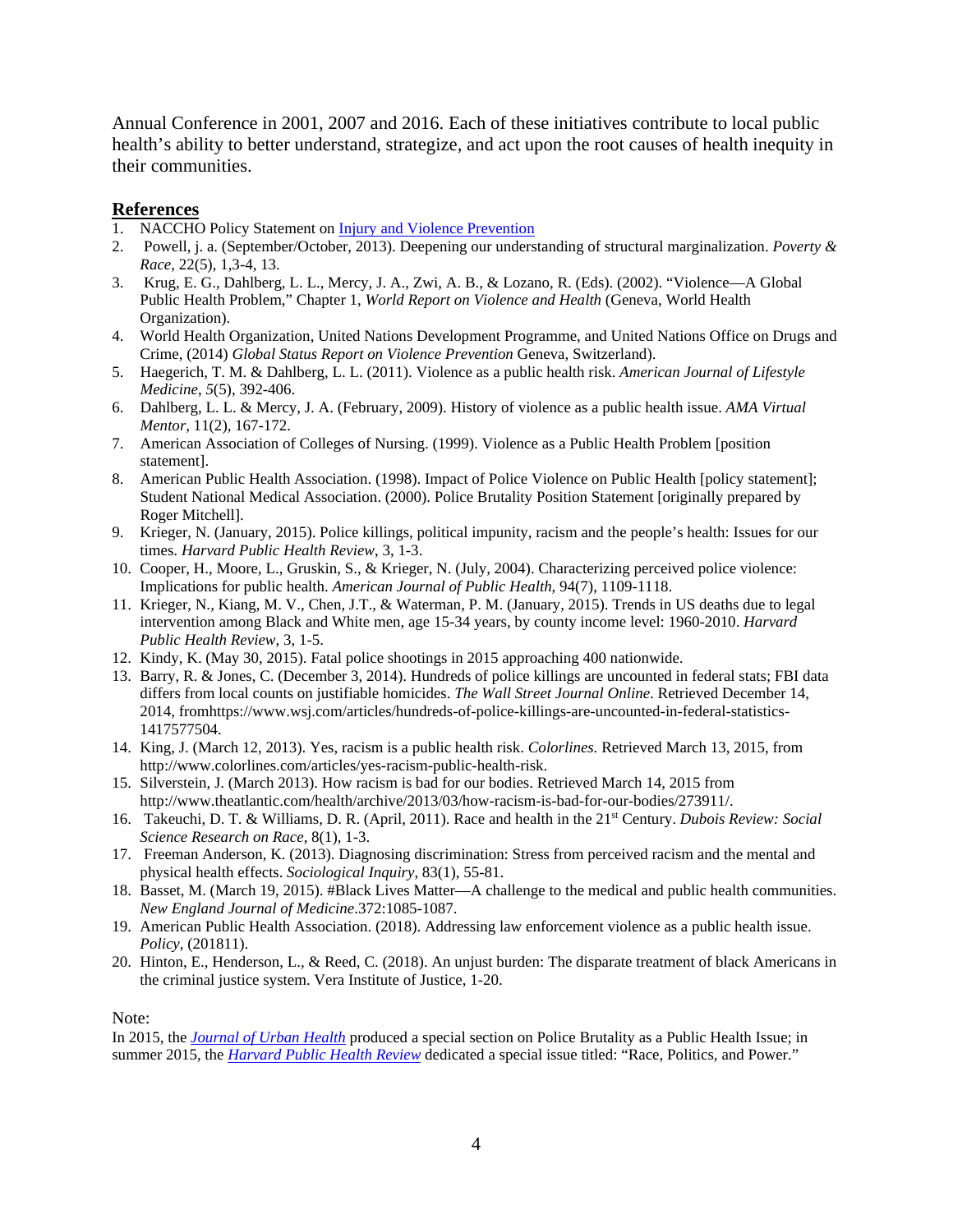Annual Conference in 2001, 2007 and 2016. Each of these initiatives contribute to local public health's ability to better understand, strategize, and act upon the root causes of health inequity in their communities.

#### **References**

- 1. NACCHO Policy Statement on [Injury and Violence Prevention](http://www.naccho.org/uploads/downloadable-resources/12-15-Injury-and-Violence-Prevention.pdf)
- 2. Powell, j. a. (September/October, 2013). Deepening our understanding of structural marginalization. *Poverty & Race*, 22(5), 1,3-4, 13.
- 3. Krug, E. G., Dahlberg, L. L., Mercy, J. A., Zwi, A. B., & Lozano, R. (Eds). (2002). "Violence—A Global Public Health Problem," Chapter 1, *World Report on Violence and Health* (Geneva, World Health Organization).
- 4. World Health Organization, United Nations Development Programme, and United Nations Office on Drugs and Crime, (2014) *Global Status Report on Violence Prevention* Geneva, Switzerland).
- 5. Haegerich, T. M. & Dahlberg, L. L. (2011). Violence as a public health risk. *American Journal of Lifestyle Medicine*, *5*(5), 392-406.
- 6. Dahlberg, L. L. & Mercy, J. A. (February, 2009). History of violence as a public health issue. *AMA Virtual Mentor*, 11(2), 167-172.
- 7. American Association of Colleges of Nursing. (1999). Violence as a Public Health Problem [position statement].
- 8. American Public Health Association. (1998). Impact of Police Violence on Public Health [policy statement]; Student National Medical Association. (2000). Police Brutality Position Statement [originally prepared by Roger Mitchell].
- 9. Krieger, N. (January, 2015). Police killings, political impunity, racism and the people's health: Issues for our times. *Harvard Public Health Review*, 3, 1-3.
- 10. Cooper, H., Moore, L., Gruskin, S., & Krieger, N. (July, 2004). Characterizing perceived police violence: Implications for public health. *American Journal of Public Health*, 94(7), 1109-1118.
- 11. Krieger, N., Kiang, M. V., Chen, J.T., & Waterman, P. M. (January, 2015). Trends in US deaths due to legal intervention among Black and White men, age 15-34 years, by county income level: 1960-2010. *Harvard Public Health Review*, 3, 1-5.
- 12. Kindy, K. (May 30, 2015). Fatal police shootings in 2015 approaching 400 nationwide.
- 13. Barry, R. & Jones, C. (December 3, 2014). Hundreds of police killings are uncounted in federal stats; FBI data differs from local counts on justifiable homicides. *The Wall Street Journal Online*. Retrieved December 14, 2014, fromhttps://www.wsj.com/articles/hundreds-of-police-killings-are-uncounted-in-federal-statistics-1417577504.
- 14. King, J. (March 12, 2013). Yes, racism is a public health risk. *Colorlines.* Retrieved March 13, 2015, from http://www.colorlines.com/articles/yes-racism-public-health-risk.
- 15. Silverstein, J. (March 2013). How racism is bad for our bodies. Retrieved March 14, 2015 from http://www.theatlantic.com/health/archive/2013/03/how-racism-is-bad-for-our-bodies/273911/.
- 16. Takeuchi, D. T. & Williams, D. R. (April, 2011). Race and health in the 21st Century. *Dubois Review: Social Science Research on Race*, 8(1), 1-3.
- 17. Freeman Anderson, K. (2013). Diagnosing discrimination: Stress from perceived racism and the mental and physical health effects. *Sociological Inquiry*, 83(1), 55-81.
- 18. Basset, M. (March 19, 2015). #Black Lives Matter—A challenge to the medical and public health communities. *New England Journal of Medicine*.372:1085-1087.
- 19. American Public Health Association. (2018). Addressing law enforcement violence as a public health issue. *Policy*, (201811).
- 20. Hinton, E., Henderson, L., & Reed, C. (2018). An unjust burden: The disparate treatment of black Americans in the criminal justice system. Vera Institute of Justice, 1-20.

Note:

In 2015, the *[Journal of Urban Health](http://link.springer.com/journal/11524/93/1/suppl/page/1)* produced a special section on Police Brutality as a Public Health Issue; in summer 2015, the *[Harvard Public Health Review](http://harvardpublichealthreview.org/vol/9-special-commentary/)* dedicated a special issue titled: "Race, Politics, and Power."